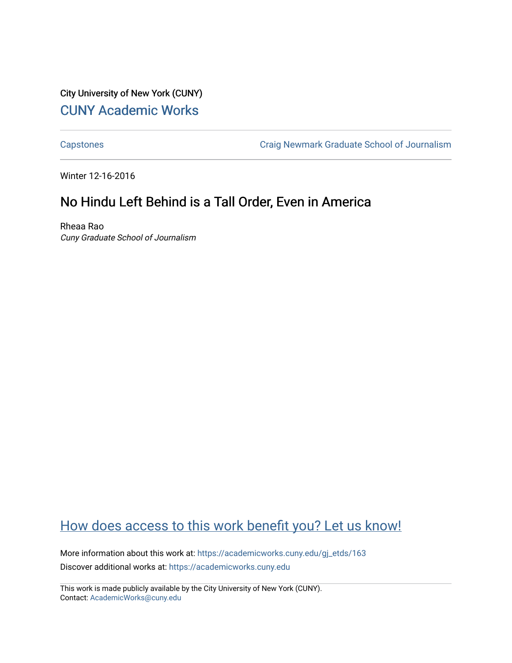City University of New York (CUNY) [CUNY Academic Works](https://academicworks.cuny.edu/) 

[Capstones](https://academicworks.cuny.edu/gj_etds) [Craig Newmark Graduate School of Journalism](https://academicworks.cuny.edu/gj) 

Winter 12-16-2016

## No Hindu Left Behind is a Tall Order, Even in America

Rheaa Rao Cuny Graduate School of Journalism

## [How does access to this work benefit you? Let us know!](http://ols.cuny.edu/academicworks/?ref=https://academicworks.cuny.edu/gj_etds/163)

More information about this work at: [https://academicworks.cuny.edu/gj\\_etds/163](https://academicworks.cuny.edu/gj_etds/163)  Discover additional works at: [https://academicworks.cuny.edu](https://academicworks.cuny.edu/?)

This work is made publicly available by the City University of New York (CUNY). Contact: [AcademicWorks@cuny.edu](mailto:AcademicWorks@cuny.edu)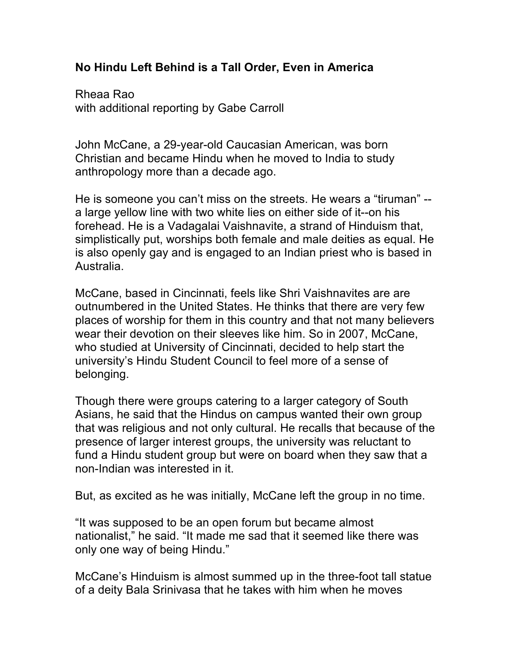## **No Hindu Left Behind is a Tall Order, Even in America**

Rheaa Rao with additional reporting by Gabe Carroll

John McCane, a 29-year-old Caucasian American, was born Christian and became Hindu when he moved to India to study anthropology more than a decade ago.

He is someone you can't miss on the streets. He wears a "tiruman" - a large yellow line with two white lies on either side of it--on his forehead. He is a Vadagalai Vaishnavite, a strand of Hinduism that, simplistically put, worships both female and male deities as equal. He is also openly gay and is engaged to an Indian priest who is based in Australia.

McCane, based in Cincinnati, feels like Shri Vaishnavites are are outnumbered in the United States. He thinks that there are very few places of worship for them in this country and that not many believers wear their devotion on their sleeves like him. So in 2007, McCane, who studied at University of Cincinnati, decided to help start the university's Hindu Student Council to feel more of a sense of belonging.

Though there were groups catering to a larger category of South Asians, he said that the Hindus on campus wanted their own group that was religious and not only cultural. He recalls that because of the presence of larger interest groups, the university was reluctant to fund a Hindu student group but were on board when they saw that a non-Indian was interested in it.

But, as excited as he was initially, McCane left the group in no time.

"It was supposed to be an open forum but became almost nationalist," he said. "It made me sad that it seemed like there was only one way of being Hindu."

McCane's Hinduism is almost summed up in the three-foot tall statue of a deity Bala Srinivasa that he takes with him when he moves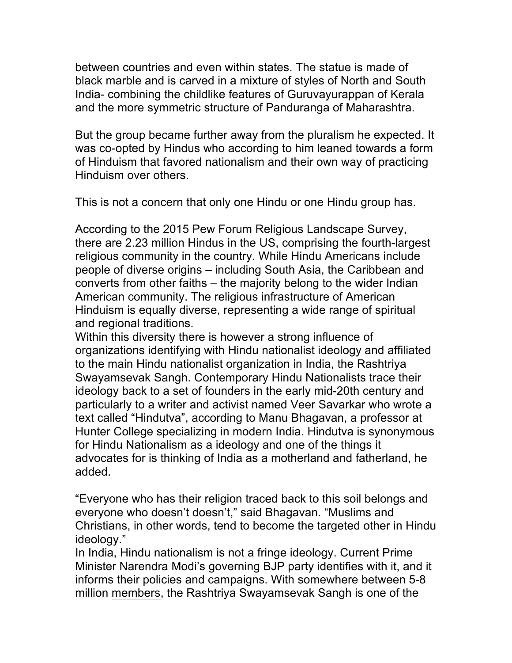between countries and even within states. The statue is made of black marble and is carved in a mixture of styles of North and South India- combining the childlike features of Guruvayurappan of Kerala and the more symmetric structure of Panduranga of Maharashtra.

But the group became further away from the pluralism he expected. It was co-opted by Hindus who according to him leaned towards a form of Hinduism that favored nationalism and their own way of practicing Hinduism over others.

This is not a concern that only one Hindu or one Hindu group has.

According to the 2015 Pew Forum Religious Landscape Survey, there are 2.23 million Hindus in the US, comprising the fourth-largest religious community in the country. While Hindu Americans include people of diverse origins – including South Asia, the Caribbean and converts from other faiths – the majority belong to the wider Indian American community. The religious infrastructure of American Hinduism is equally diverse, representing a wide range of spiritual and regional traditions.

Within this diversity there is however a strong influence of organizations identifying with Hindu nationalist ideology and affiliated to the main Hindu nationalist organization in India, the Rashtriya Swayamsevak Sangh. Contemporary Hindu Nationalists trace their ideology back to a set of founders in the early mid-20th century and particularly to a writer and activist named Veer Savarkar who wrote a text called "Hindutva", according to Manu Bhagavan, a professor at Hunter College specializing in modern India. Hindutva is synonymous for Hindu Nationalism as a ideology and one of the things it advocates for is thinking of India as a motherland and fatherland, he added.

"Everyone who has their religion traced back to this soil belongs and everyone who doesn't doesn't," said Bhagavan. "Muslims and Christians, in other words, tend to become the targeted other in Hindu ideology."

In India, Hindu nationalism is not a fringe ideology. Current Prime Minister Narendra Modi's governing BJP party identifies with it, and it informs their policies and campaigns. With somewhere between 5-8 million members, the Rashtriya Swayamsevak Sangh is one of the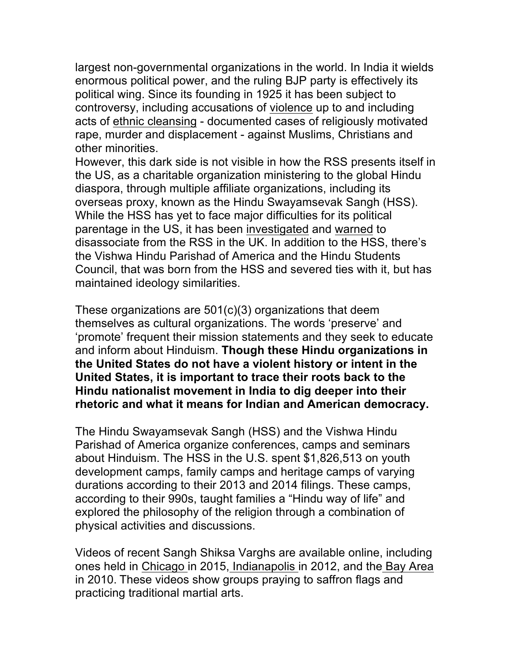largest non-governmental organizations in the world. In India it wields enormous political power, and the ruling BJP party is effectively its political wing. Since its founding in 1925 it has been subject to controversy, including accusations of violence up to and including acts of ethnic cleansing - documented cases of religiously motivated rape, murder and displacement - against Muslims, Christians and other minorities.

However, this dark side is not visible in how the RSS presents itself in the US, as a charitable organization ministering to the global Hindu diaspora, through multiple affiliate organizations, including its overseas proxy, known as the Hindu Swayamsevak Sangh (HSS). While the HSS has yet to face major difficulties for its political parentage in the US, it has been investigated and warned to disassociate from the RSS in the UK. In addition to the HSS, there's the Vishwa Hindu Parishad of America and the Hindu Students Council, that was born from the HSS and severed ties with it, but has maintained ideology similarities.

These organizations are 501(c)(3) organizations that deem themselves as cultural organizations. The words 'preserve' and 'promote' frequent their mission statements and they seek to educate and inform about Hinduism. **Though these Hindu organizations in the United States do not have a violent history or intent in the United States, it is important to trace their roots back to the Hindu nationalist movement in India to dig deeper into their rhetoric and what it means for Indian and American democracy.**

The Hindu Swayamsevak Sangh (HSS) and the Vishwa Hindu Parishad of America organize conferences, camps and seminars about Hinduism. The HSS in the U.S. spent \$1,826,513 on youth development camps, family camps and heritage camps of varying durations according to their 2013 and 2014 filings. These camps, according to their 990s, taught families a "Hindu way of life" and explored the philosophy of the religion through a combination of physical activities and discussions.

Videos of recent Sangh Shiksa Varghs are available online, including ones held in Chicago in 2015, Indianapolis in 2012, and the Bay Area in 2010. These videos show groups praying to saffron flags and practicing traditional martial arts.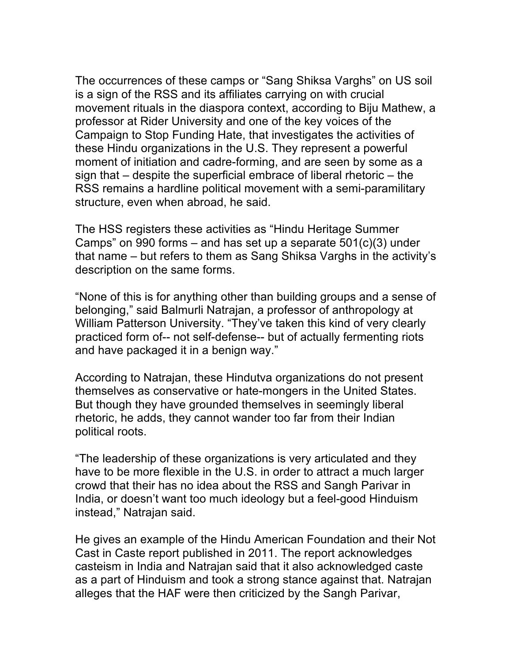The occurrences of these camps or "Sang Shiksa Varghs" on US soil is a sign of the RSS and its affiliates carrying on with crucial movement rituals in the diaspora context, according to Biju Mathew, a professor at Rider University and one of the key voices of the Campaign to Stop Funding Hate, that investigates the activities of these Hindu organizations in the U.S. They represent a powerful moment of initiation and cadre-forming, and are seen by some as a sign that – despite the superficial embrace of liberal rhetoric – the RSS remains a hardline political movement with a semi-paramilitary structure, even when abroad, he said.

The HSS registers these activities as "Hindu Heritage Summer Camps" on 990 forms – and has set up a separate  $501(c)(3)$  under that name – but refers to them as Sang Shiksa Varghs in the activity's description on the same forms.

"None of this is for anything other than building groups and a sense of belonging," said Balmurli Natrajan, a professor of anthropology at William Patterson University. "They've taken this kind of very clearly practiced form of-- not self-defense-- but of actually fermenting riots and have packaged it in a benign way."

According to Natrajan, these Hindutva organizations do not present themselves as conservative or hate-mongers in the United States. But though they have grounded themselves in seemingly liberal rhetoric, he adds, they cannot wander too far from their Indian political roots.

"The leadership of these organizations is very articulated and they have to be more flexible in the U.S. in order to attract a much larger crowd that their has no idea about the RSS and Sangh Parivar in India, or doesn't want too much ideology but a feel-good Hinduism instead," Natrajan said.

He gives an example of the Hindu American Foundation and their Not Cast in Caste report published in 2011. The report acknowledges casteism in India and Natrajan said that it also acknowledged caste as a part of Hinduism and took a strong stance against that. Natrajan alleges that the HAF were then criticized by the Sangh Parivar,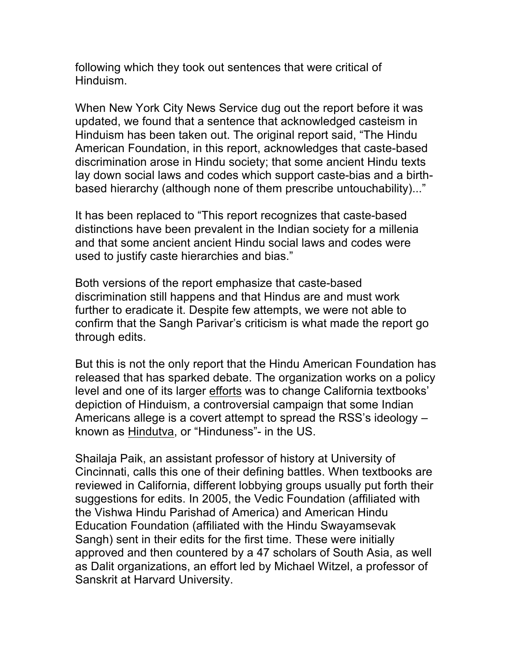following which they took out sentences that were critical of Hinduism.

When New York City News Service dug out the report before it was updated, we found that a sentence that acknowledged casteism in Hinduism has been taken out. The original report said, "The Hindu American Foundation, in this report, acknowledges that caste-based discrimination arose in Hindu society; that some ancient Hindu texts lay down social laws and codes which support caste-bias and a birthbased hierarchy (although none of them prescribe untouchability)..."

It has been replaced to "This report recognizes that caste-based distinctions have been prevalent in the Indian society for a millenia and that some ancient ancient Hindu social laws and codes were used to justify caste hierarchies and bias."

Both versions of the report emphasize that caste-based discrimination still happens and that Hindus are and must work further to eradicate it. Despite few attempts, we were not able to confirm that the Sangh Parivar's criticism is what made the report go through edits.

But this is not the only report that the Hindu American Foundation has released that has sparked debate. The organization works on a policy level and one of its larger efforts was to change California textbooks' depiction of Hinduism, a controversial campaign that some Indian Americans allege is a covert attempt to spread the RSS's ideology – known as Hindutva, or "Hinduness"- in the US.

Shailaja Paik, an assistant professor of history at University of Cincinnati, calls this one of their defining battles. When textbooks are reviewed in California, different lobbying groups usually put forth their suggestions for edits. In 2005, the Vedic Foundation (affiliated with the Vishwa Hindu Parishad of America) and American Hindu Education Foundation (affiliated with the Hindu Swayamsevak Sangh) sent in their edits for the first time. These were initially approved and then countered by a 47 scholars of South Asia, as well as Dalit organizations, an effort led by Michael Witzel, a professor of Sanskrit at Harvard University.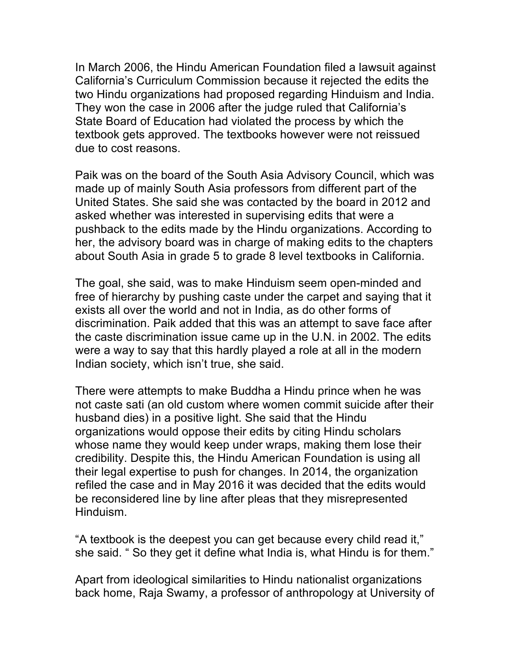In March 2006, the Hindu American Foundation filed a lawsuit against California's Curriculum Commission because it rejected the edits the two Hindu organizations had proposed regarding Hinduism and India. They won the case in 2006 after the judge ruled that California's State Board of Education had violated the process by which the textbook gets approved. The textbooks however were not reissued due to cost reasons.

Paik was on the board of the South Asia Advisory Council, which was made up of mainly South Asia professors from different part of the United States. She said she was contacted by the board in 2012 and asked whether was interested in supervising edits that were a pushback to the edits made by the Hindu organizations. According to her, the advisory board was in charge of making edits to the chapters about South Asia in grade 5 to grade 8 level textbooks in California.

The goal, she said, was to make Hinduism seem open-minded and free of hierarchy by pushing caste under the carpet and saying that it exists all over the world and not in India, as do other forms of discrimination. Paik added that this was an attempt to save face after the caste discrimination issue came up in the U.N. in 2002. The edits were a way to say that this hardly played a role at all in the modern Indian society, which isn't true, she said.

There were attempts to make Buddha a Hindu prince when he was not caste sati (an old custom where women commit suicide after their husband dies) in a positive light. She said that the Hindu organizations would oppose their edits by citing Hindu scholars whose name they would keep under wraps, making them lose their credibility. Despite this, the Hindu American Foundation is using all their legal expertise to push for changes. In 2014, the organization refiled the case and in May 2016 it was decided that the edits would be reconsidered line by line after pleas that they misrepresented Hinduism.

"A textbook is the deepest you can get because every child read it," she said. " So they get it define what India is, what Hindu is for them."

Apart from ideological similarities to Hindu nationalist organizations back home, Raja Swamy, a professor of anthropology at University of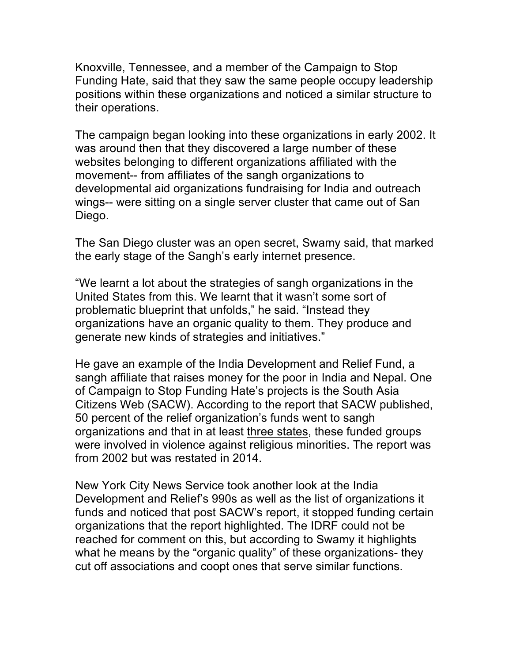Knoxville, Tennessee, and a member of the Campaign to Stop Funding Hate, said that they saw the same people occupy leadership positions within these organizations and noticed a similar structure to their operations.

The campaign began looking into these organizations in early 2002. It was around then that they discovered a large number of these websites belonging to different organizations affiliated with the movement-- from affiliates of the sangh organizations to developmental aid organizations fundraising for India and outreach wings-- were sitting on a single server cluster that came out of San Diego.

The San Diego cluster was an open secret, Swamy said, that marked the early stage of the Sangh's early internet presence.

"We learnt a lot about the strategies of sangh organizations in the United States from this. We learnt that it wasn't some sort of problematic blueprint that unfolds," he said. "Instead they organizations have an organic quality to them. They produce and generate new kinds of strategies and initiatives."

He gave an example of the India Development and Relief Fund, a sangh affiliate that raises money for the poor in India and Nepal. One of Campaign to Stop Funding Hate's projects is the South Asia Citizens Web (SACW). According to the report that SACW published, 50 percent of the relief organization's funds went to sangh organizations and that in at least three states, these funded groups were involved in violence against religious minorities. The report was from 2002 but was restated in 2014.

New York City News Service took another look at the India Development and Relief's 990s as well as the list of organizations it funds and noticed that post SACW's report, it stopped funding certain organizations that the report highlighted. The IDRF could not be reached for comment on this, but according to Swamy it highlights what he means by the "organic quality" of these organizations- they cut off associations and coopt ones that serve similar functions.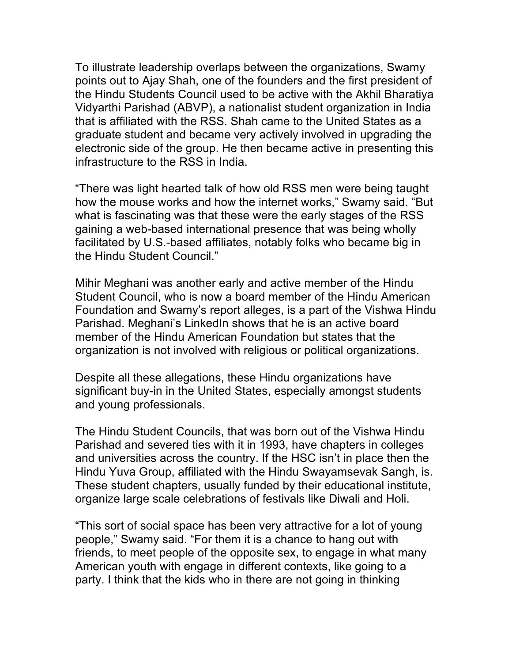To illustrate leadership overlaps between the organizations, Swamy points out to Ajay Shah, one of the founders and the first president of the Hindu Students Council used to be active with the Akhil Bharatiya Vidyarthi Parishad (ABVP), a nationalist student organization in India that is affiliated with the RSS. Shah came to the United States as a graduate student and became very actively involved in upgrading the electronic side of the group. He then became active in presenting this infrastructure to the RSS in India.

"There was light hearted talk of how old RSS men were being taught how the mouse works and how the internet works," Swamy said. "But what is fascinating was that these were the early stages of the RSS gaining a web-based international presence that was being wholly facilitated by U.S.-based affiliates, notably folks who became big in the Hindu Student Council."

Mihir Meghani was another early and active member of the Hindu Student Council, who is now a board member of the Hindu American Foundation and Swamy's report alleges, is a part of the Vishwa Hindu Parishad. Meghani's LinkedIn shows that he is an active board member of the Hindu American Foundation but states that the organization is not involved with religious or political organizations.

Despite all these allegations, these Hindu organizations have significant buy-in in the United States, especially amongst students and young professionals.

The Hindu Student Councils, that was born out of the Vishwa Hindu Parishad and severed ties with it in 1993, have chapters in colleges and universities across the country. If the HSC isn't in place then the Hindu Yuva Group, affiliated with the Hindu Swayamsevak Sangh, is. These student chapters, usually funded by their educational institute, organize large scale celebrations of festivals like Diwali and Holi.

"This sort of social space has been very attractive for a lot of young people," Swamy said. "For them it is a chance to hang out with friends, to meet people of the opposite sex, to engage in what many American youth with engage in different contexts, like going to a party. I think that the kids who in there are not going in thinking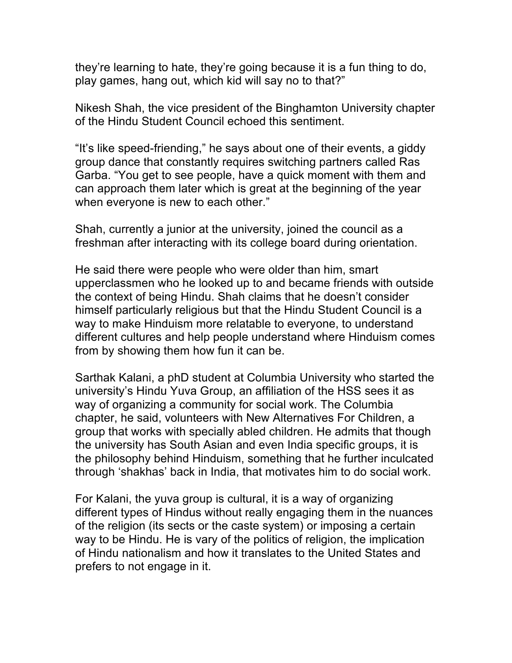they're learning to hate, they're going because it is a fun thing to do, play games, hang out, which kid will say no to that?"

Nikesh Shah, the vice president of the Binghamton University chapter of the Hindu Student Council echoed this sentiment.

"It's like speed-friending," he says about one of their events, a giddy group dance that constantly requires switching partners called Ras Garba. "You get to see people, have a quick moment with them and can approach them later which is great at the beginning of the year when everyone is new to each other."

Shah, currently a junior at the university, joined the council as a freshman after interacting with its college board during orientation.

He said there were people who were older than him, smart upperclassmen who he looked up to and became friends with outside the context of being Hindu. Shah claims that he doesn't consider himself particularly religious but that the Hindu Student Council is a way to make Hinduism more relatable to everyone, to understand different cultures and help people understand where Hinduism comes from by showing them how fun it can be.

Sarthak Kalani, a phD student at Columbia University who started the university's Hindu Yuva Group, an affiliation of the HSS sees it as way of organizing a community for social work. The Columbia chapter, he said, volunteers with New Alternatives For Children, a group that works with specially abled children. He admits that though the university has South Asian and even India specific groups, it is the philosophy behind Hinduism, something that he further inculcated through 'shakhas' back in India, that motivates him to do social work.

For Kalani, the yuva group is cultural, it is a way of organizing different types of Hindus without really engaging them in the nuances of the religion (its sects or the caste system) or imposing a certain way to be Hindu. He is vary of the politics of religion, the implication of Hindu nationalism and how it translates to the United States and prefers to not engage in it.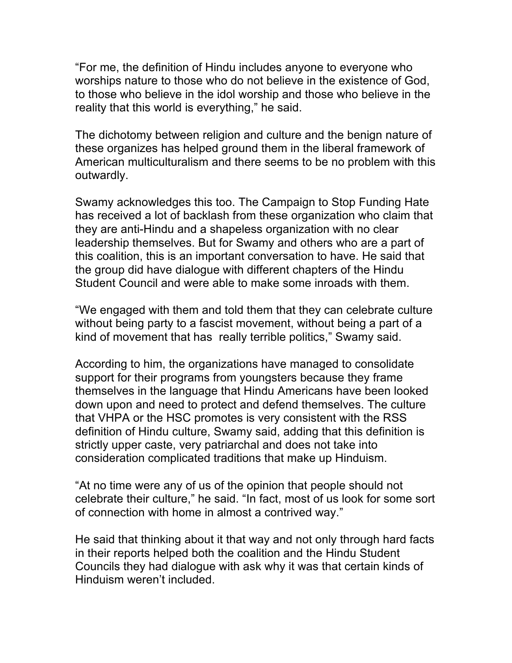"For me, the definition of Hindu includes anyone to everyone who worships nature to those who do not believe in the existence of God, to those who believe in the idol worship and those who believe in the reality that this world is everything," he said.

The dichotomy between religion and culture and the benign nature of these organizes has helped ground them in the liberal framework of American multiculturalism and there seems to be no problem with this outwardly.

Swamy acknowledges this too. The Campaign to Stop Funding Hate has received a lot of backlash from these organization who claim that they are anti-Hindu and a shapeless organization with no clear leadership themselves. But for Swamy and others who are a part of this coalition, this is an important conversation to have. He said that the group did have dialogue with different chapters of the Hindu Student Council and were able to make some inroads with them.

"We engaged with them and told them that they can celebrate culture without being party to a fascist movement, without being a part of a kind of movement that has really terrible politics," Swamy said.

According to him, the organizations have managed to consolidate support for their programs from youngsters because they frame themselves in the language that Hindu Americans have been looked down upon and need to protect and defend themselves. The culture that VHPA or the HSC promotes is very consistent with the RSS definition of Hindu culture, Swamy said, adding that this definition is strictly upper caste, very patriarchal and does not take into consideration complicated traditions that make up Hinduism.

"At no time were any of us of the opinion that people should not celebrate their culture," he said. "In fact, most of us look for some sort of connection with home in almost a contrived way."

He said that thinking about it that way and not only through hard facts in their reports helped both the coalition and the Hindu Student Councils they had dialogue with ask why it was that certain kinds of Hinduism weren't included.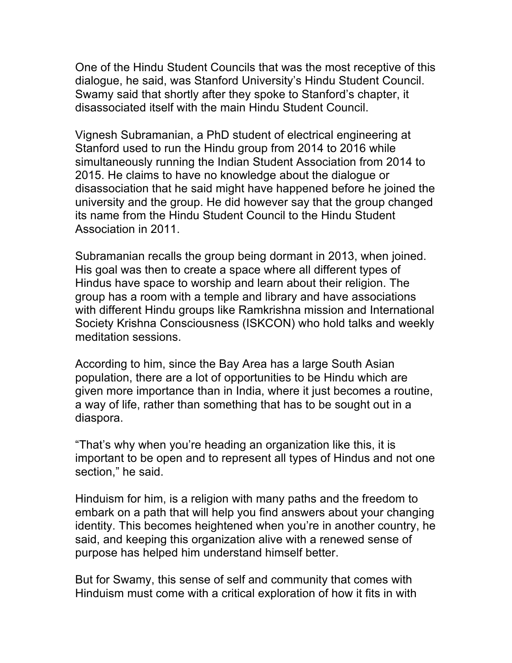One of the Hindu Student Councils that was the most receptive of this dialogue, he said, was Stanford University's Hindu Student Council. Swamy said that shortly after they spoke to Stanford's chapter, it disassociated itself with the main Hindu Student Council.

Vignesh Subramanian, a PhD student of electrical engineering at Stanford used to run the Hindu group from 2014 to 2016 while simultaneously running the Indian Student Association from 2014 to 2015. He claims to have no knowledge about the dialogue or disassociation that he said might have happened before he joined the university and the group. He did however say that the group changed its name from the Hindu Student Council to the Hindu Student Association in 2011.

Subramanian recalls the group being dormant in 2013, when joined. His goal was then to create a space where all different types of Hindus have space to worship and learn about their religion. The group has a room with a temple and library and have associations with different Hindu groups like Ramkrishna mission and International Society Krishna Consciousness (ISKCON) who hold talks and weekly meditation sessions.

According to him, since the Bay Area has a large South Asian population, there are a lot of opportunities to be Hindu which are given more importance than in India, where it just becomes a routine, a way of life, rather than something that has to be sought out in a diaspora.

"That's why when you're heading an organization like this, it is important to be open and to represent all types of Hindus and not one section," he said.

Hinduism for him, is a religion with many paths and the freedom to embark on a path that will help you find answers about your changing identity. This becomes heightened when you're in another country, he said, and keeping this organization alive with a renewed sense of purpose has helped him understand himself better.

But for Swamy, this sense of self and community that comes with Hinduism must come with a critical exploration of how it fits in with